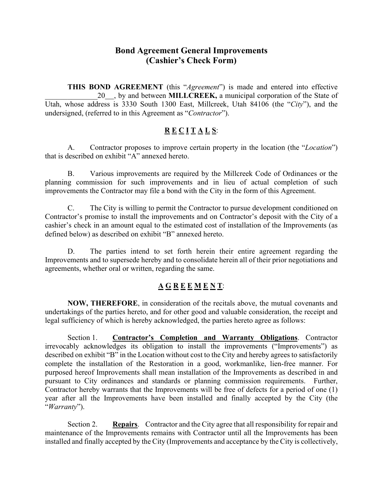## **Bond Agreement General Improvements (Cashier's Check Form)**

**THIS BOND AGREEMENT** (this "*Agreement*") is made and entered into effective 20 , by and between **MILLCREEK**, a municipal corporation of the State of Utah, whose address is 3330 South 1300 East, Millcreek, Utah 84106 (the "*City*"), and the undersigned, (referred to in this Agreement as "*Contractor*").

### **R E C I T A L S**:

A. Contractor proposes to improve certain property in the location (the "*Location*") that is described on exhibit "A" annexed hereto.

B. Various improvements are required by the Millcreek Code of Ordinances or the planning commission for such improvements and in lieu of actual completion of such improvements the Contractor may file a bond with the City in the form of this Agreement.

C. The City is willing to permit the Contractor to pursue development conditioned on Contractor's promise to install the improvements and on Contractor's deposit with the City of a cashier's check in an amount equal to the estimated cost of installation of the Improvements (as defined below) as described on exhibit "B" annexed hereto.

D. The parties intend to set forth herein their entire agreement regarding the Improvements and to supersede hereby and to consolidate herein all of their prior negotiations and agreements, whether oral or written, regarding the same.

### **A G R E E M E N T**:

**NOW, THEREFORE**, in consideration of the recitals above, the mutual covenants and undertakings of the parties hereto, and for other good and valuable consideration, the receipt and legal sufficiency of which is hereby acknowledged, the parties hereto agree as follows:

 Section 1. **Contractor's Completion and Warranty Obligations**. Contractor irrevocably acknowledges its obligation to install the improvements ("Improvements") as described on exhibit "B" in the Location without cost to the City and hereby agrees to satisfactorily complete the installation of the Restoration in a good, workmanlike, lien-free manner. For purposed hereof Improvements shall mean installation of the Improvements as described in and pursuant to City ordinances and standards or planning commission requirements. Further, Contractor hereby warrants that the Improvements will be free of defects for a period of one (1) year after all the Improvements have been installed and finally accepted by the City (the "*Warranty*").

 Section 2. **Repairs**. Contractor and the City agree that all responsibility for repair and maintenance of the Improvements remains with Contractor until all the Improvements has been installed and finally accepted by the City (Improvements and acceptance by the City is collectively,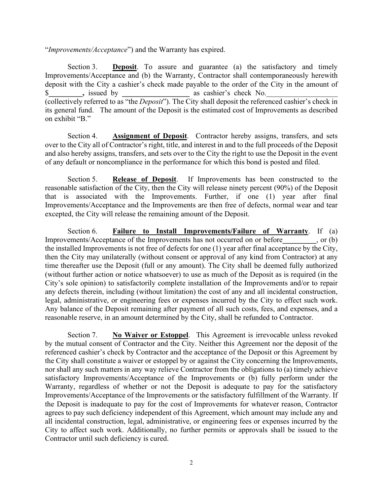"*Improvements/Acceptance*") and the Warranty has expired.

 Section 3. **Deposit**. To assure and guarantee (a) the satisfactory and timely Improvements/Acceptance and (b) the Warranty, Contractor shall contemporaneously herewith deposit with the City a cashier's check made payable to the order of the City in the amount of \$**\_\_\_\_\_\_\_\_\_,** issued by **\_\_\_\_\_\_\_\_\_\_\_\_\_\_\_\_\_\_** as cashier's check No.\_\_\_\_\_\_\_\_\_\_\_\_\_\_\_\_\_\_\_ (collectively referred to as "the *Deposit*"). The City shall deposit the referenced cashier's check in its general fund. The amount of the Deposit is the estimated cost of Improvements as described on exhibit "B."

 Section 4. **Assignment of Deposit**. Contractor hereby assigns, transfers, and sets over to the City all of Contractor's right, title, and interest in and to the full proceeds of the Deposit and also hereby assigns, transfers, and sets over to the City the right to use the Deposit in the event of any default or noncompliance in the performance for which this bond is posted and filed.

 Section 5. **Release of Deposit**. If Improvements has been constructed to the reasonable satisfaction of the City, then the City will release ninety percent (90%) of the Deposit that is associated with the Improvements. Further, if one (1) year after final Improvements/Acceptance and the Improvements are then free of defects, normal wear and tear excepted, the City will release the remaining amount of the Deposit.

 Section 6. **Failure to Install Improvements/Failure of Warranty**. If (a) Improvements/Acceptance of the Improvements has not occurred on or before**\_\_\_\_\_\_\_\_\_**, or (b) the installed Improvements is not free of defects for one (1) year after final acceptance by the City, then the City may unilaterally (without consent or approval of any kind from Contractor) at any time thereafter use the Deposit (full or any amount). The City shall be deemed fully authorized (without further action or notice whatsoever) to use as much of the Deposit as is required (in the City's sole opinion) to satisfactorily complete installation of the Improvements and/or to repair any defects therein, including (without limitation) the cost of any and all incidental construction, legal, administrative, or engineering fees or expenses incurred by the City to effect such work. Any balance of the Deposit remaining after payment of all such costs, fees, and expenses, and a reasonable reserve, in an amount determined by the City, shall be refunded to Contractor.

 Section 7. **No Waiver or Estoppel**. This Agreement is irrevocable unless revoked by the mutual consent of Contractor and the City. Neither this Agreement nor the deposit of the referenced cashier's check by Contractor and the acceptance of the Deposit or this Agreement by the City shall constitute a waiver or estoppel by or against the City concerning the Improvements, nor shall any such matters in any way relieve Contractor from the obligations to (a) timely achieve satisfactory Improvements/Acceptance of the Improvements or (b) fully perform under the Warranty, regardless of whether or not the Deposit is adequate to pay for the satisfactory Improvements/Acceptance of the Improvements or the satisfactory fulfillment of the Warranty. If the Deposit is inadequate to pay for the cost of Improvements for whatever reason, Contractor agrees to pay such deficiency independent of this Agreement, which amount may include any and all incidental construction, legal, administrative, or engineering fees or expenses incurred by the City to affect such work. Additionally, no further permits or approvals shall be issued to the Contractor until such deficiency is cured.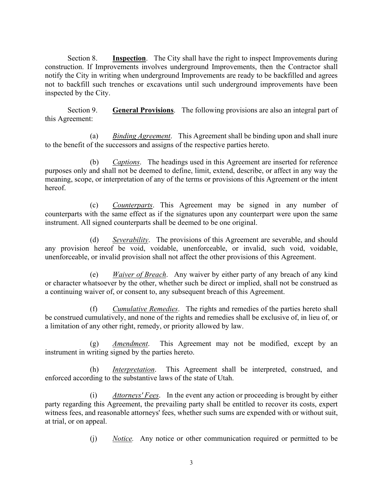Section 8. **Inspection**. The City shall have the right to inspect Improvements during construction. If Improvements involves underground Improvements, then the Contractor shall notify the City in writing when underground Improvements are ready to be backfilled and agrees not to backfill such trenches or excavations until such underground improvements have been inspected by the City.

 Section 9. **General Provisions**. The following provisions are also an integral part of this Agreement:

(a) *Binding Agreement*. This Agreement shall be binding upon and shall inure to the benefit of the successors and assigns of the respective parties hereto.

(b) *Captions*. The headings used in this Agreement are inserted for reference purposes only and shall not be deemed to define, limit, extend, describe, or affect in any way the meaning, scope, or interpretation of any of the terms or provisions of this Agreement or the intent hereof.

(c) *Counterparts*. This Agreement may be signed in any number of counterparts with the same effect as if the signatures upon any counterpart were upon the same instrument. All signed counterparts shall be deemed to be one original.

(d) *Severability*. The provisions of this Agreement are severable, and should any provision hereof be void, voidable, unenforceable, or invalid, such void, voidable, unenforceable, or invalid provision shall not affect the other provisions of this Agreement.

(e) *Waiver of Breach*. Any waiver by either party of any breach of any kind or character whatsoever by the other, whether such be direct or implied, shall not be construed as a continuing waiver of, or consent to, any subsequent breach of this Agreement.

(f) *Cumulative Remedies*. The rights and remedies of the parties hereto shall be construed cumulatively, and none of the rights and remedies shall be exclusive of, in lieu of, or a limitation of any other right, remedy, or priority allowed by law.

(g) *Amendment*. This Agreement may not be modified, except by an instrument in writing signed by the parties hereto.

(h) *Interpretation*. This Agreement shall be interpreted, construed, and enforced according to the substantive laws of the state of Utah.

(i) *Attorneys' Fees*. In the event any action or proceeding is brought by either party regarding this Agreement, the prevailing party shall be entitled to recover its costs, expert witness fees, and reasonable attorneys' fees, whether such sums are expended with or without suit, at trial, or on appeal.

(j) *Notice.* Any notice or other communication required or permitted to be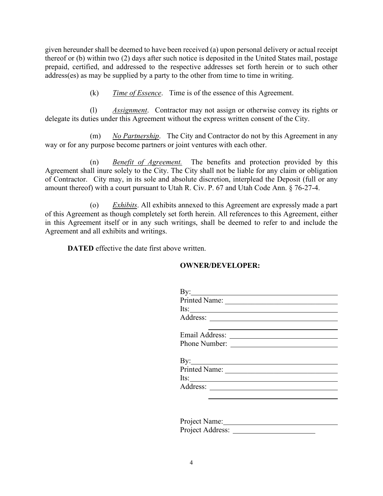given hereunder shall be deemed to have been received (a) upon personal delivery or actual receipt thereof or (b) within two (2) days after such notice is deposited in the United States mail, postage prepaid, certified, and addressed to the respective addresses set forth herein or to such other address(es) as may be supplied by a party to the other from time to time in writing.

(k) *Time of Essence*. Time is of the essence of this Agreement.

(l) *Assignment*. Contractor may not assign or otherwise convey its rights or delegate its duties under this Agreement without the express written consent of the City.

 (m) *No Partnership*. The City and Contractor do not by this Agreement in any way or for any purpose become partners or joint ventures with each other.

 (n) *Benefit of Agreement.* The benefits and protection provided by this Agreement shall inure solely to the City. The City shall not be liable for any claim or obligation of Contractor. City may, in its sole and absolute discretion, interplead the Deposit (full or any amount thereof) with a court pursuant to Utah R. Civ. P. 67 and Utah Code Ann. § 76-27-4.

 (o) *Exhibits*. All exhibits annexed to this Agreement are expressly made a part of this Agreement as though completely set forth herein. All references to this Agreement, either in this Agreement itself or in any such writings, shall be deemed to refer to and include the Agreement and all exhibits and writings.

**DATED** effective the date first above written.

### **OWNER/DEVELOPER:**

| $Its:\_$       |  |
|----------------|--|
|                |  |
| Email Address: |  |
|                |  |
|                |  |
|                |  |
| $Its:\_$       |  |
|                |  |
|                |  |
|                |  |
| Project Name:  |  |
|                |  |

Project Address: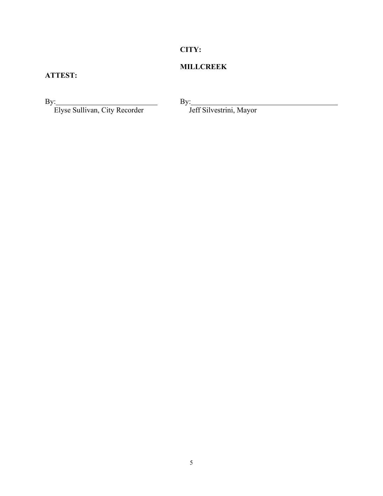## **CITY:**

## **MILLCREEK**

## **ATTEST:**

Elyse Sullivan, City Recorder Jeff Silvestrini, Mayor

By: By: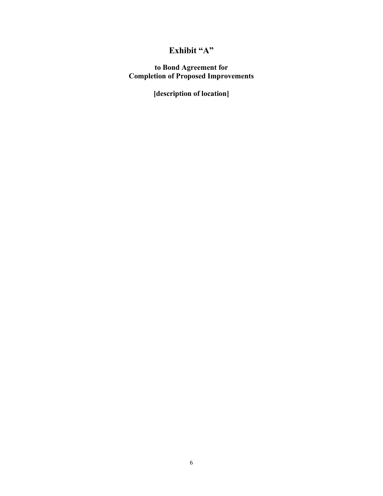# **Exhibit "A"**

**to Bond Agreement for Completion of Proposed Improvements** 

**[description of location]**